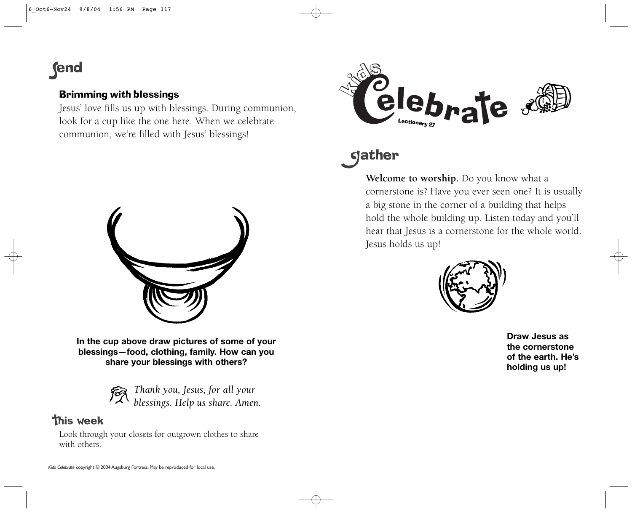## **fend**

#### Brimming with blessings

Jesus' love fills us up with blessings. During communion, look for a cup like the one here. When we celebrate communion, we're filled with Jesus' blessings!



**In the cup above draw pictures of some of your blessings—food, clothing, family. How can you share your blessings with others?**

*Thank you, Jesus, for all your blessings. Help us share. Amen.*

### **This week**

Look through your closets for outgrown clothes to share with others.



# **gather**

**Welcome to worship.** Do you know what a cornerstone is? Have you ever seen one? It is usually a big stone in the corner of a building that helps hold the whole building up. Listen today and you'll hear that Jesus is a cornerstone for the whole world. Jesus holds us up!



**Draw Jesus asthe cornerstoneof the earth. He'sholding us up!**